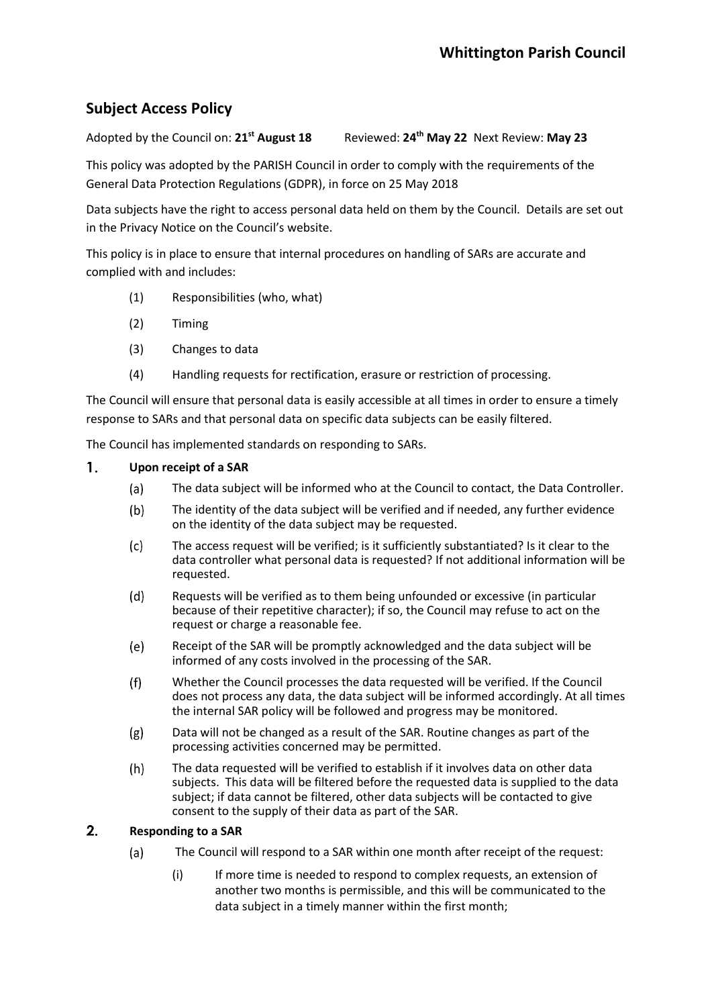## **Subject Access Policy**

Adopted by the Council on: **21st August 18** Reviewed: **24 th May 22** Next Review: **May 23**

This policy was adopted by the PARISH Council in order to comply with the requirements of the General Data Protection Regulations (GDPR), in force on 25 May 2018

Data subjects have the right to access personal data held on them by the Council. Details are set out in the Privacy Notice on the Council's website.

This policy is in place to ensure that internal procedures on handling of SARs are accurate and complied with and includes:

- (1) Responsibilities (who, what)
- (2) Timing
- (3) Changes to data
- (4) Handling requests for rectification, erasure or restriction of processing.

The Council will ensure that personal data is easily accessible at all times in order to ensure a timely response to SARs and that personal data on specific data subjects can be easily filtered.

The Council has implemented standards on responding to SARs.

## $\mathbf{1}$ **Upon receipt of a SAR**

- The data subject will be informed who at the Council to contact, the Data Controller.  $(a)$
- $(b)$ The identity of the data subject will be verified and if needed, any further evidence on the identity of the data subject may be requested.
- $(c)$ The access request will be verified; is it sufficiently substantiated? Is it clear to the data controller what personal data is requested? If not additional information will be requested.
- $(d)$ Requests will be verified as to them being unfounded or excessive (in particular because of their repetitive character); if so, the Council may refuse to act on the request or charge a reasonable fee.
- $(e)$ Receipt of the SAR will be promptly acknowledged and the data subject will be informed of any costs involved in the processing of the SAR.
- $(f)$ Whether the Council processes the data requested will be verified. If the Council does not process any data, the data subject will be informed accordingly. At all times the internal SAR policy will be followed and progress may be monitored.
- Data will not be changed as a result of the SAR. Routine changes as part of the  $(g)$ processing activities concerned may be permitted.
- $(h)$ The data requested will be verified to establish if it involves data on other data subjects. This data will be filtered before the requested data is supplied to the data subject; if data cannot be filtered, other data subjects will be contacted to give consent to the supply of their data as part of the SAR.

## $2.$ **Responding to a SAR**

- $(a)$ The Council will respond to a SAR within one month after receipt of the request:
	- (i) If more time is needed to respond to complex requests, an extension of another two months is permissible, and this will be communicated to the data subject in a timely manner within the first month;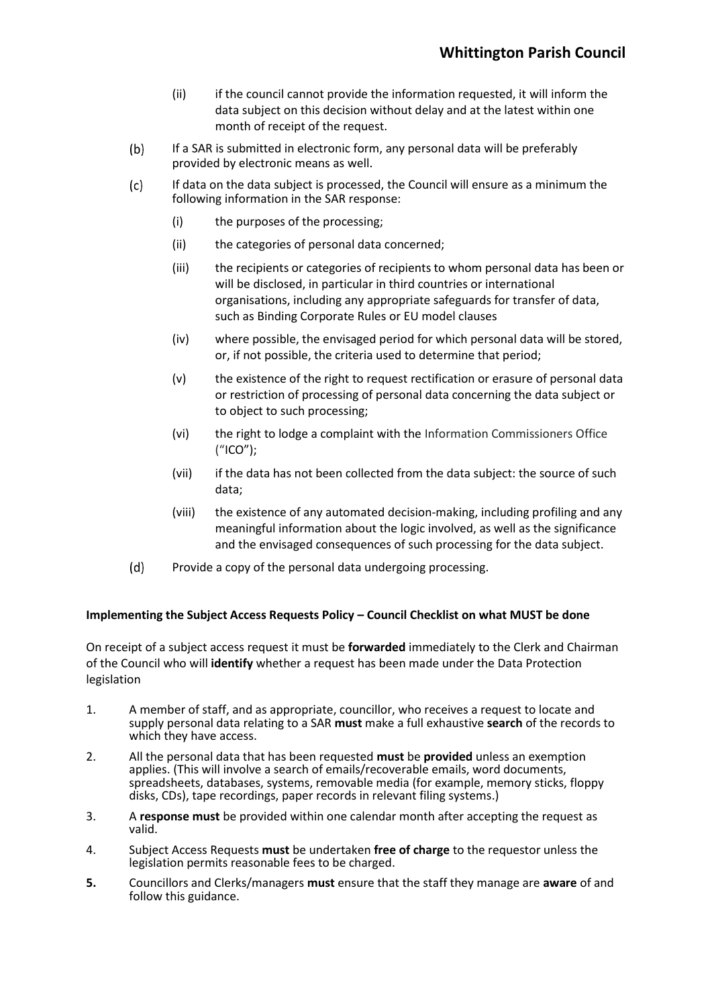- (ii) if the council cannot provide the information requested, it will inform the data subject on this decision without delay and at the latest within one month of receipt of the request.
- $(b)$ If a SAR is submitted in electronic form, any personal data will be preferably provided by electronic means as well.
- If data on the data subject is processed, the Council will ensure as a minimum the  $(c)$ following information in the SAR response:
	- (i) the purposes of the processing;
	- (ii) the categories of personal data concerned;
	- (iii) the recipients or categories of recipients to whom personal data has been or will be disclosed, in particular in third countries or international organisations, including any appropriate safeguards for transfer of data, such as Binding Corporate Rules or EU model clauses
	- (iv) where possible, the envisaged period for which personal data will be stored, or, if not possible, the criteria used to determine that period;
	- (v) the existence of the right to request rectification or erasure of personal data or restriction of processing of personal data concerning the data subject or to object to such processing;
	- (vi) the right to lodge a complaint with the Information Commissioners Office ("ICO");
	- (vii) if the data has not been collected from the data subject: the source of such data;
	- (viii) the existence of any automated decision-making, including profiling and any meaningful information about the logic involved, as well as the significance and the envisaged consequences of such processing for the data subject.
- $(d)$ Provide a copy of the personal data undergoing processing.

## **Implementing the Subject Access Requests Policy – Council Checklist on what MUST be done**

On receipt of a subject access request it must be **forwarded** immediately to the Clerk and Chairman of the Council who will **identify** whether a request has been made under the Data Protection legislation

- 1. A member of staff, and as appropriate, councillor, who receives a request to locate and supply personal data relating to a SAR **must** make a full exhaustive **search** of the records to which they have access.
- 2. All the personal data that has been requested **must** be **provided** unless an exemption applies. (This will involve a search of emails/recoverable emails, word documents, spreadsheets, databases, systems, removable media (for example, memory sticks, floppy disks, CDs), tape recordings, paper records in relevant filing systems.)
- 3. A **response must** be provided within one calendar month after accepting the request as valid.
- 4. Subject Access Requests **must** be undertaken **free of charge** to the requestor unless the legislation permits reasonable fees to be charged.
- **5.** Councillors and Clerks/managers **must** ensure that the staff they manage are **aware** of and follow this guidance.